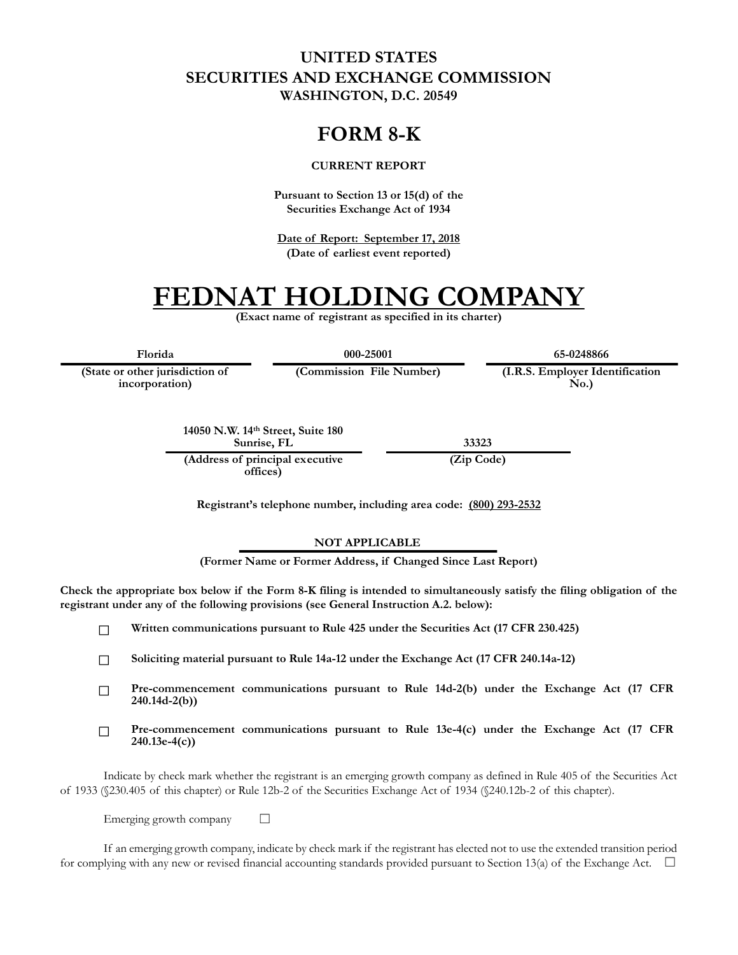### **UNITED STATES SECURITIES AND EXCHANGE COMMISSION WASHINGTON, D.C. 20549**

## **FORM 8-K**

#### **CURRENT REPORT**

**Pursuant to Section 13 or 15(d) of the Securities Exchange Act of 1934**

**Date of Report: September 17, 2018 (Date of earliest event reported)**

# **FEDNAT HOLDING COMPANY**

**(Exact name of registrant as specified in its charter)**

**(State or other jurisdiction of**

**incorporation)**

**Florida 000-25001 65-0248866**

**(Commission File Number) (I.R.S. Employer Identification No.)**

**14050 N.W. 14th Street, Suite 180 Sunrise, FL 33323**

**(Address of principal executive offices)**

**(Zip Code)**

**Registrant's telephone number, including area code: (800) 293-2532**

#### **NOT APPLICABLE**

**(Former Name or Former Address, if Changed Since Last Report)**

**Check the appropriate box below if the Form 8-K filing is intended to simultaneously satisfy the filing obligation of the registrant under any of the following provisions (see General Instruction A.2. below):**

 $\Box$ **Written communications pursuant to Rule 425 under the Securities Act (17 CFR 230.425)**

**Soliciting material pursuant to Rule 14a-12 under the Exchange Act (17 CFR 240.14a-12)**  $\Box$ 

- **Pre-commencement communications pursuant to Rule 14d-2(b) under the Exchange Act (17 CFR**   $\Box$ **240.14d-2(b))**
- **Pre-commencement communications pursuant to Rule 13e-4(c) under the Exchange Act (17 CFR**   $\Box$ **240.13e-4(c))**

Indicate by check mark whether the registrant is an emerging growth company as defined in Rule 405 of the Securities Act of 1933 (§230.405 of this chapter) or Rule 12b-2 of the Securities Exchange Act of 1934 (§240.12b-2 of this chapter).

Emerging growth company  $\Box$ 

If an emerging growth company, indicate by check mark if the registrant has elected not to use the extended transition period for complying with any new or revised financial accounting standards provided pursuant to Section 13(a) of the Exchange Act.  $\square$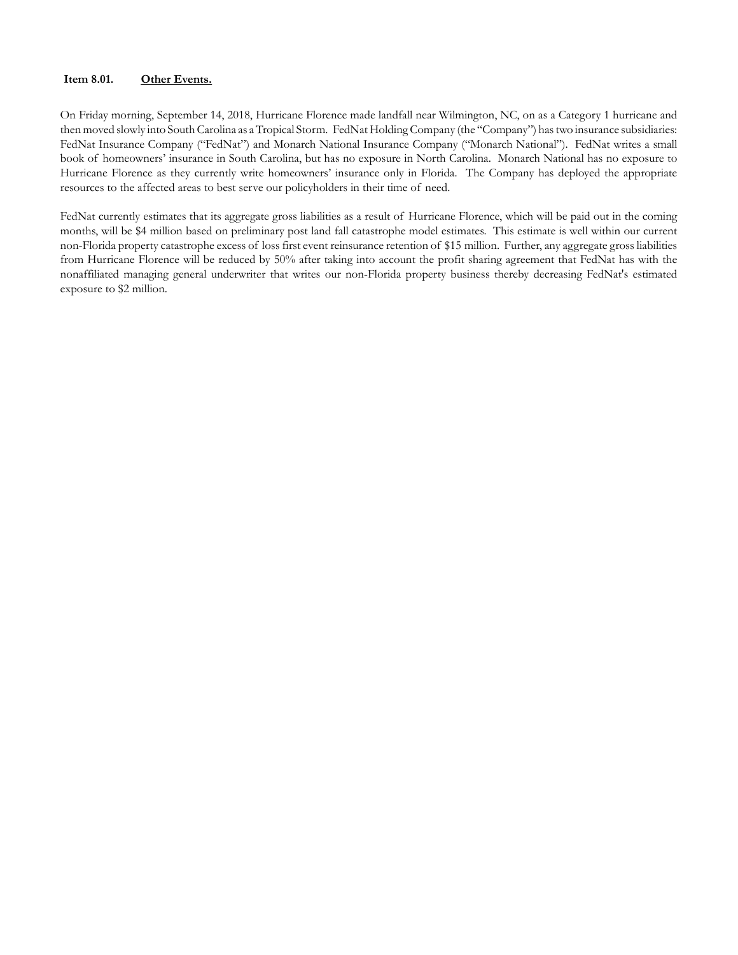#### **Item 8.01. Other Events.**

On Friday morning, September 14, 2018, Hurricane Florence made landfall near Wilmington, NC, on as a Category 1 hurricane and then moved slowly into South Carolina as a Tropical Storm. FedNat Holding Company (the "Company") has two insurance subsidiaries: FedNat Insurance Company ("FedNat") and Monarch National Insurance Company ("Monarch National"). FedNat writes a small book of homeowners' insurance in South Carolina, but has no exposure in North Carolina. Monarch National has no exposure to Hurricane Florence as they currently write homeowners' insurance only in Florida. The Company has deployed the appropriate resources to the affected areas to best serve our policyholders in their time of need.

FedNat currently estimates that its aggregate gross liabilities as a result of Hurricane Florence, which will be paid out in the coming months, will be \$4 million based on preliminary post land fall catastrophe model estimates. This estimate is well within our current non-Florida property catastrophe excess of loss first event reinsurance retention of \$15 million. Further, any aggregate gross liabilities from Hurricane Florence will be reduced by 50% after taking into account the profit sharing agreement that FedNat has with the nonaffiliated managing general underwriter that writes our non-Florida property business thereby decreasing FedNat's estimated exposure to \$2 million.